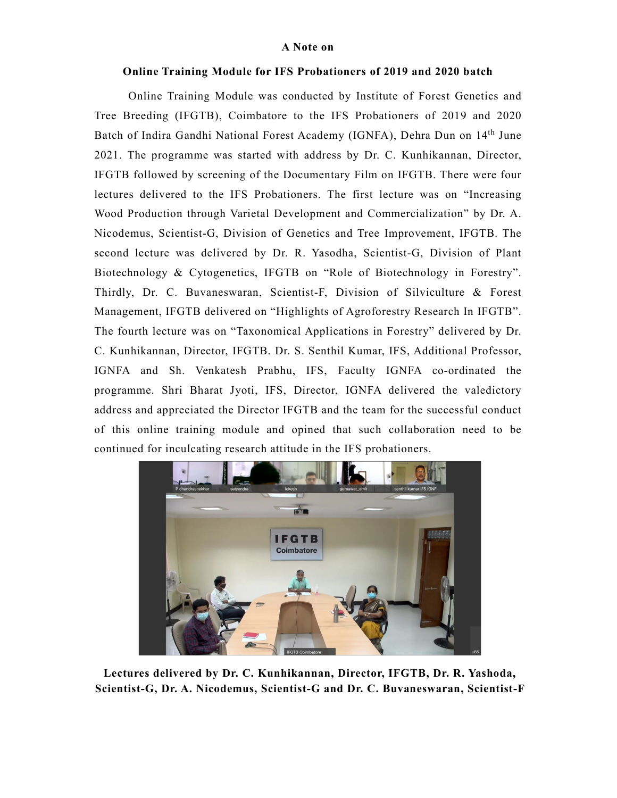## A Note on

## Online Training Module for IFS Probationers of 2019 and 2020 batch

Online Training Module was conducted by Institute of Forest Genetics and Tree Breeding (IFGTB), Coimbatore to the IFS Probationers of 2019 and 2020 Batch of Indira Gandhi National Forest Academy (IGNFA), Dehra Dun on 14th June 2021. The programme was started with address by Dr. C. Kunhikannan, Director, IFGTB followed by screening of the Documentary Film on IFGTB. There were four lectures delivered to the IFS Probationers. The first lecture was on "Increasing Wood Production through Varietal Development and Commercialization" by Dr. A. Nicodemus, Scientist-G, Division of Genetics and Tree Improvement, IFGTB. The second lecture was delivered by Dr. R. Yasodha, Scientist-G, Division of Plant Biotechnology & Cytogenetics, IFGTB on "Role of Biotechnology in Forestry". Thirdly, Dr. C. Buvaneswaran, Scientist-F, Division of Silviculture & Forest Management, IFGTB delivered on "Highlights of Agroforestry Research In IFGTB". The fourth lecture was on "Taxonomical Applications in Forestry" delivered by Dr. C. Kunhikannan, Director, IFGTB. Dr. S. Senthil Kumar, IFS, Additional Professor, IGNFA and Sh. Venkatesh Prabhu, IFS, Faculty IGNFA co-ordinated the programme. Shri Bharat Jyoti, IFS, Director, IGNFA delivered the valedictory address and appreciated the Director IFGTB and the team for the successful conduct of this online training module and opined that such collaboration need to be continued for inculcating research attitude in the IFS probationers.



Lectures delivered by Dr. C. Kunhikannan, Director, IFGTB, Dr. R. Yashoda, Scientist-G, Dr. A. Nicodemus, Scientist-G and Dr. C. Buvaneswaran, Scientist-F